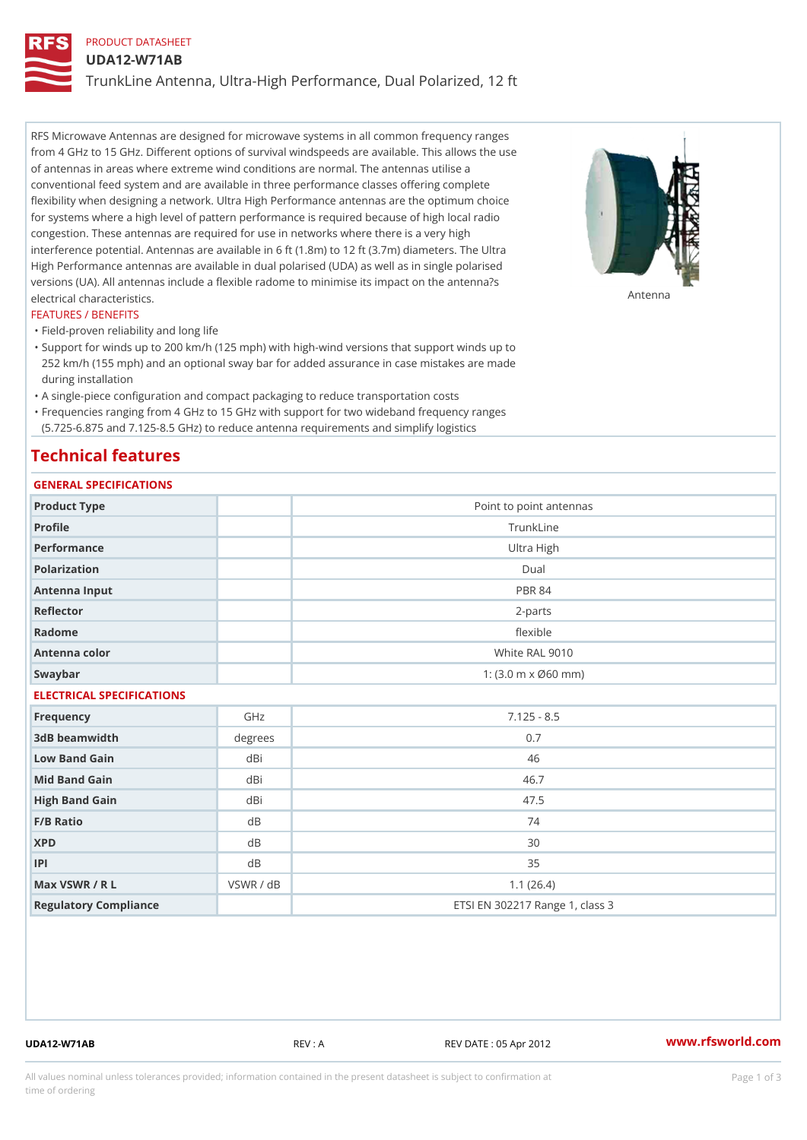# PRODUCT DATASHEET

#### UDA12-W71AB

TrunkLine Antenna, Ultra-High Performance, Dual Polarized, 12 ft

RFS Microwave Antennas are designed for microwave systems in all common frequency ranges from 4 GHz to 15 GHz. Different options of survival windspeeds are available. This allows the use of antennas in areas where extreme wind conditions are normal. The antennas utilise a conventional feed system and are available in three performance classes offering complete flexibility when designing a network. Ultra High Performance antennas are the optimum choice for systems where a high level of pattern performance is required because of high local radio congestion. These antennas are required for use in networks where there is a very high interference potential. Antennas are available in 6 ft (1.8m) to 12 ft (3.7m) diameters. The Ultra High Performance antennas are available in dual polarised (UDA) as well as in single polarised versions (UA). All antennas include a flexible radome to minimise its impact on the antenna?s electrical characteristics. Antenna

#### FEATURES / BENEFITS

"Field-proven reliability and long life

- Support for winds up to 200 km/h (125 mph) with high-wind versions that support winds up to " 252 km/h (155 mph) and an optional sway bar for added assurance in case mistakes are made during installation
- "A single-piece configuration and compact packaging to reduce transportation costs
- Frequencies ranging from 4 GHz to 15 GHz with support for two wideband frequency ranges "
- (5.725-6.875 and 7.125-8.5 GHz) to reduce antenna requirements and simplify logistics

### Technical features

## GENERAL SPECIFICATIONS

| GENERAL SELGIFICATIONS    |                |                                                         |  |  |
|---------------------------|----------------|---------------------------------------------------------|--|--|
| Product Type              |                | Point to point antennas                                 |  |  |
| Profile                   |                | TrunkLine                                               |  |  |
| Performance               |                | Ultra High                                              |  |  |
| Polarization              |                | $D$ ual                                                 |  |  |
| Antenna Input             |                | <b>PBR 84</b>                                           |  |  |
| Reflector                 |                | $2 - p$ arts                                            |  |  |
| Radome                    |                | flexible                                                |  |  |
| Antenna color             |                | White RAL 9010                                          |  |  |
| Swaybar                   |                | 1: $(3.0 \, \text{m} \times \emptyset 60 \, \text{mm})$ |  |  |
| ELECTRICAL SPECIFICATIONS |                |                                                         |  |  |
| Frequency                 | GHz            | $7.125 - 8.5$                                           |  |  |
| 3dB beamwidth             | degrees        | 0.7                                                     |  |  |
| Low Band Gain             | dBi            | 46                                                      |  |  |
| Mid Band Gain             | dBi            | 46.7                                                    |  |  |
| High Band Gain            | dBi            | 47.5                                                    |  |  |
| F/B Ratio                 | d B            | 74                                                      |  |  |
| <b>XPD</b>                | d <sub>B</sub> | 30                                                      |  |  |
| P                         | d B            | 35                                                      |  |  |
| Max VSWR / R L            | VSWR / dB      | 1.1(26.4)                                               |  |  |
| Regulatory Compliance     |                | ETSI EN 302217 Range 1, class 3                         |  |  |

UDA12-W71AB REV : A REV DATE : 05 Apr 2012 [www.](https://www.rfsworld.com)rfsworld.com

All values nominal unless tolerances provided; information contained in the present datasheet is subject to Pcapgeign mation time of ordering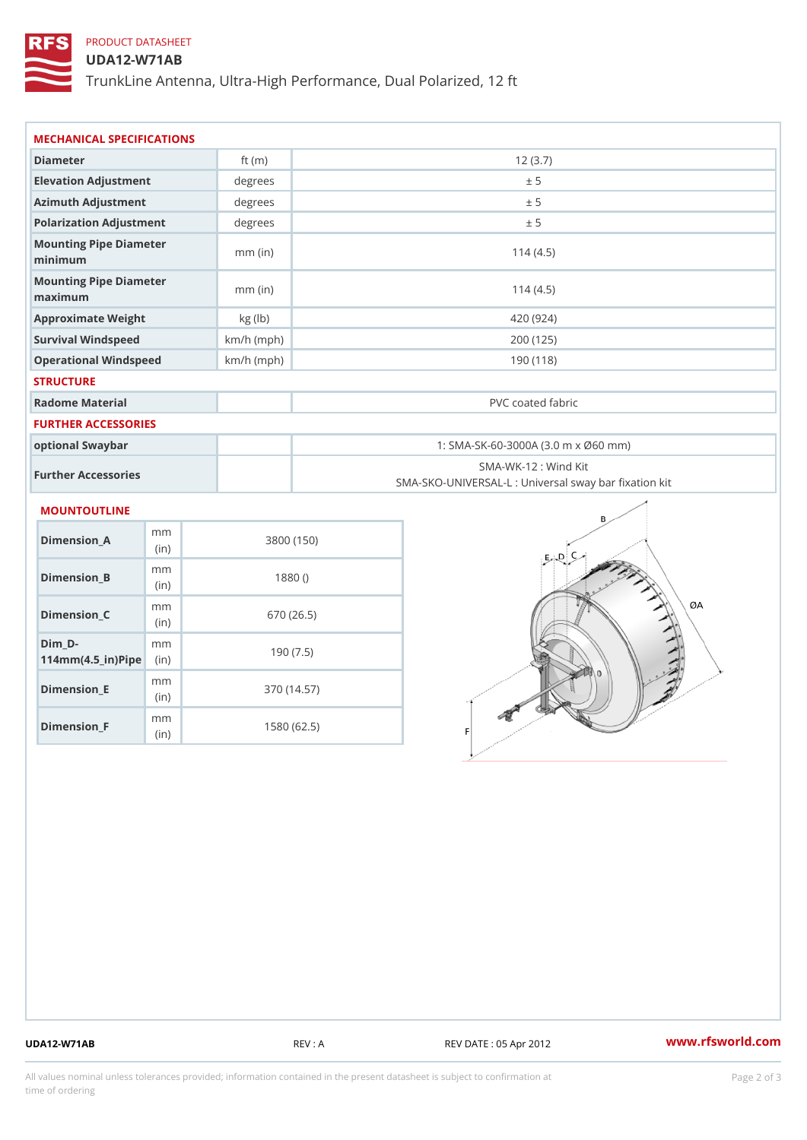# PRODUCT DATASHEET

### UDA12-W71AB

TrunkLine Antenna, Ultra-High Performance, Dual Polarized, 12 ft

| MECHANICAL SPECIFICATIONS                                                  |              |                                                                           |  |
|----------------------------------------------------------------------------|--------------|---------------------------------------------------------------------------|--|
| Diameter                                                                   | ft $(m)$     | 12(3.7)                                                                   |  |
| Elevation Adjustment                                                       | degree       | ± 5                                                                       |  |
| Azimuth Adjustment                                                         | degrees      | ± 5                                                                       |  |
| Polarization Adjustment                                                    | degrees      | ± 5                                                                       |  |
| Mounting Pipe Diameter<br>minimum                                          | $mm$ (in)    | 114(4.5)                                                                  |  |
| Mounting Pipe Diameter<br>maximum                                          | $mm$ (in)    | 114(4.5)                                                                  |  |
| Approximate Weight                                                         | kg (lb)      | 420 (924)                                                                 |  |
| Survival Windspeed                                                         | $km/h$ (mph) | 200 (125)                                                                 |  |
| Operational Windspeed                                                      | $km/h$ (mph) | 190 (118)                                                                 |  |
| <b>STRUCTURE</b>                                                           |              |                                                                           |  |
| Radome Material                                                            |              | PVC coated fabric                                                         |  |
| <b>FURTHER ACCESSORIES</b>                                                 |              |                                                                           |  |
| optional Swaybar                                                           |              | 1: SMA-SK-60-3000A (3.0 m x Ø60 mm)                                       |  |
| Further Accessories                                                        |              | SMA-WK-12 : Wind Kit<br>SMA-SKO-UNIVERSAL-L : Universal sway bar fixation |  |
| <b>MOUNTOUTLINE</b>                                                        |              |                                                                           |  |
| m m<br>Dimension_A<br>(in)                                                 |              | 3800 (150)                                                                |  |
| m m<br>$Dimension_B$<br>(in)                                               |              | 1880()                                                                    |  |
| m m<br>Dimension_C<br>(in)                                                 |              | 670 (26.5)                                                                |  |
| $Dim_D - D -$<br>m <sub>m</sub><br>$114$ m m $(4.5$ ir $)$ $\sqrt{$ ip $e$ |              | 190(7.5)                                                                  |  |

Dimension\_F m<sub>m</sub> (in) 1580 (62.5)

m<sub>m</sub> (in)

Dimension\_E

370 (14.57)

UDA12-W71AB REV : A REV DATE : 05 Apr 2012 [www.](https://www.rfsworld.com)rfsworld.com